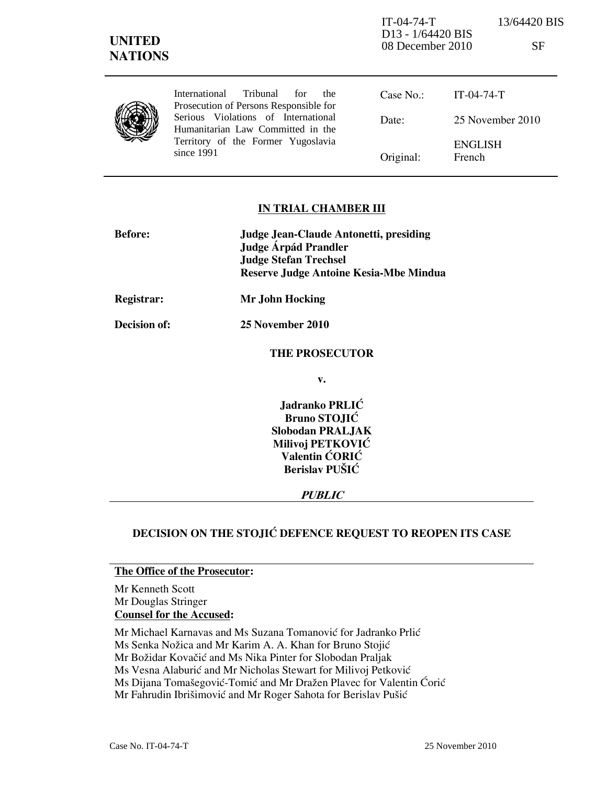| <b>UNITED</b><br><b>NATIONS</b> |                                                                                                                                | $IT-04-74-T$<br>D <sub>13</sub> - 1/64420 BIS<br>08 December 2010 |                          | 13/64420 BIS<br>SF |
|---------------------------------|--------------------------------------------------------------------------------------------------------------------------------|-------------------------------------------------------------------|--------------------------|--------------------|
|                                 | <b>International</b><br>Tribunal<br>for<br>the<br>Prosecution of Persons Responsible for                                       | Case No.:                                                         | $IT-04-74-T$             |                    |
|                                 | Serious Violations of International<br>Humanitarian Law Committed in the<br>Territory of the Former Yugoslavia<br>since $1991$ | Date:                                                             | 25 November 2010         |                    |
|                                 |                                                                                                                                | Original:                                                         | <b>ENGLISH</b><br>French |                    |

### IN TRIAL CHAMBER III

| <b>Before:</b> | Judge Jean-Claude Antonetti, presiding<br>Judge Árpád Prandler<br><b>Judge Stefan Trechsel</b><br>Reserve Judge Antoine Kesia-Mbe Mindua |
|----------------|------------------------------------------------------------------------------------------------------------------------------------------|
| Registrar:     | Mr John Hocking                                                                                                                          |
| Decision of:   | 25 November 2010                                                                                                                         |
|                | <b>THE PROSECUTOR</b>                                                                                                                    |
|                | $\mathbf{v}$ .                                                                                                                           |
|                | Jadranko PRLIĆ<br><b>Bruno STOJIĆ</b><br><b>Slobodan PRALJAK</b><br>Milivoj PETKOVIĆ<br>Valentin CORIC<br>Berislav PUŠIĆ                 |

PUBLIC

# DECISION ON THE STOJIC DEFENCE REQUEST TO REOPEN ITS CASE

### The Office of the Prosecutor:

Mr Kenneth Scott Mr Douglas Stringer Counsel for the Accused:

Mr Michael Karnavas and Ms Suzana Tomanović for Jadranko Prlić

Ms Senka Nožica and Mr Karim A. A. Khan for Bruno Stojić

Mr Božidar Kovačić and Ms Nika Pinter for Slobodan Praljak

Ms Vesna Alaburić and Mr Nicholas Stewart for Milivoj Petković

Ms Dijana Tomašegović-Tomić and Mr Dražen Plavec for Valentin Ćorić

Mr Fahrudin Ibrišimović and Mr Roger Sahota for Berislav Pušić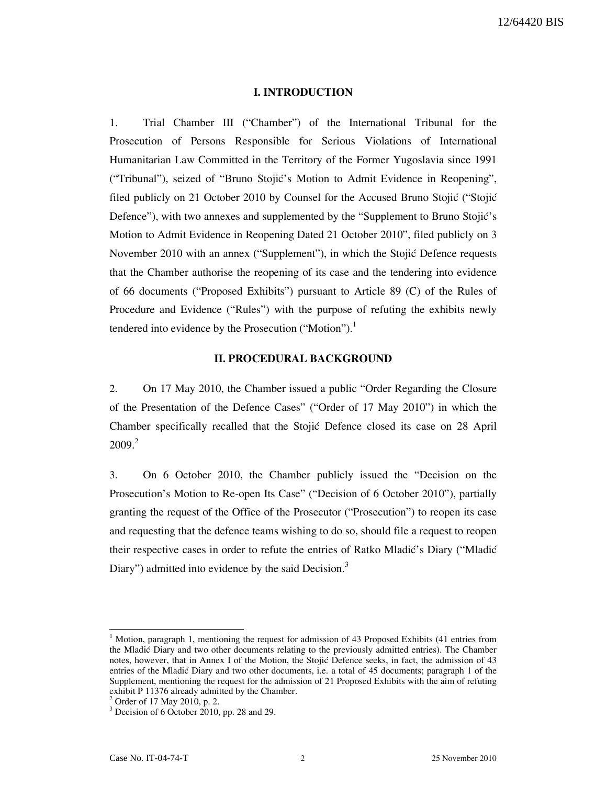## I. INTRODUCTION

1. Trial Chamber III ("Chamber") of the International Tribunal for the Prosecution of Persons Responsible for Serious Violations of International Humanitarian Law Committed in the Territory of the Former Yugoslavia since 1991 ("Tribunal"), seized of "Bruno Stojić's Motion to Admit Evidence in Reopening", filed publicly on 21 October 2010 by Counsel for the Accused Bruno Stojić ("Stojić Defence"), with two annexes and supplemented by the "Supplement to Bruno Stojić's Motion to Admit Evidence in Reopening Dated 21 October 2010", filed publicly on 3 November 2010 with an annex ("Supplement"), in which the Stojić Defence requests that the Chamber authorise the reopening of its case and the tendering into evidence of 66 documents ("Proposed Exhibits") pursuant to Article 89 (C) of the Rules of Procedure and Evidence ("Rules") with the purpose of refuting the exhibits newly tendered into evidence by the Prosecution ("Motion").<sup>1</sup>

# II. PROCEDURAL BACKGROUND

2. On 17 May 2010, the Chamber issued a public "Order Regarding the Closure of the Presentation of the Defence Cases" ("Order of 17 May 2010") in which the Chamber specifically recalled that the Stojić Defence closed its case on 28 April  $2009.<sup>2</sup>$ 

3. On 6 October 2010, the Chamber publicly issued the "Decision on the Prosecution's Motion to Re-open Its Case" ("Decision of 6 October 2010"), partially granting the request of the Office of the Prosecutor ("Prosecution") to reopen its case and requesting that the defence teams wishing to do so, should file a request to reopen their respective cases in order to refute the entries of Ratko Mladić's Diary ("Mladić" Diary") admitted into evidence by the said Decision.<sup>3</sup>

<sup>1</sup> Motion, paragraph 1, mentioning the request for admission of 43 Proposed Exhibits (41 entries from the Mladić Diary and two other documents relating to the previously admitted entries). The Chamber notes, however, that in Annex I of the Motion, the Stojić Defence seeks, in fact, the admission of 43 entries of the Mladić Diary and two other documents, i.e. a total of 45 documents; paragraph 1 of the Supplement, mentioning the request for the admission of 21 Proposed Exhibits with the aim of refuting exhibit P 11376 already admitted by the Chamber.

<sup>2</sup> Order of 17 May 2010, p. 2.

<sup>&</sup>lt;sup>3</sup> Decision of 6 October 2010, pp. 28 and 29.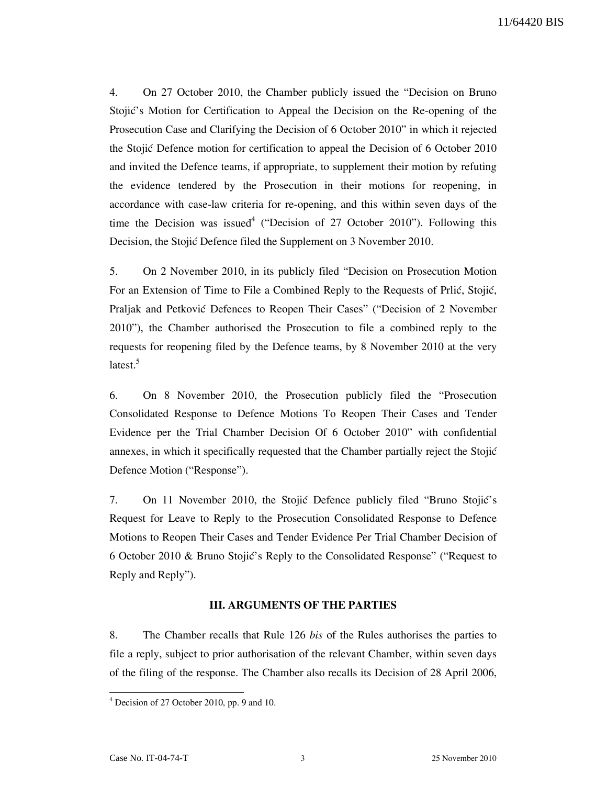4. On 27 October 2010, the Chamber publicly issued the "Decision on Bruno Stojić's Motion for Certification to Appeal the Decision on the Re-opening of the Prosecution Case and Clarifying the Decision of 6 October 2010" in which it rejected the Stojić Defence motion for certification to appeal the Decision of 6 October 2010 and invited the Defence teams, if appropriate, to supplement their motion by refuting the evidence tendered by the Prosecution in their motions for reopening, in accordance with case-law criteria for re-opening, and this within seven days of the time the Decision was issued<sup>4</sup> ("Decision of 27 October 2010"). Following this Decision, the Stojić Defence filed the Supplement on 3 November 2010.

5. On 2 November 2010, in its publicly filed "Decision on Prosecution Motion For an Extension of Time to File a Combined Reply to the Requests of Prlić, Stojić, Praljak and Petković Defences to Reopen Their Cases" ("Decision of 2 November 2010"), the Chamber authorised the Prosecution to file a combined reply to the requests for reopening filed by the Defence teams, by 8 November 2010 at the very latest.<sup>5</sup>

6. On 8 November 2010, the Prosecution publicly filed the "Prosecution Consolidated Response to Defence Motions To Reopen Their Cases and Tender Evidence per the Trial Chamber Decision Of 6 October 2010" with confidential annexes, in which it specifically requested that the Chamber partially reject the Stojić Defence Motion ("Response").

7. On 11 November 2010, the Stojić Defence publicly filed "Bruno Stojić's Request for Leave to Reply to the Prosecution Consolidated Response to Defence Motions to Reopen Their Cases and Tender Evidence Per Trial Chamber Decision of 6 October 2010 & Bruno Stojić's Reply to the Consolidated Response" ("Request to Reply and Reply").

### III. ARGUMENTS OF THE PARTIES

8. The Chamber recalls that Rule 126 bis of the Rules authorises the parties to file a reply, subject to prior authorisation of the relevant Chamber, within seven days of the filing of the response. The Chamber also recalls its Decision of 28 April 2006,

<sup>4</sup> Decision of 27 October 2010, pp. 9 and 10.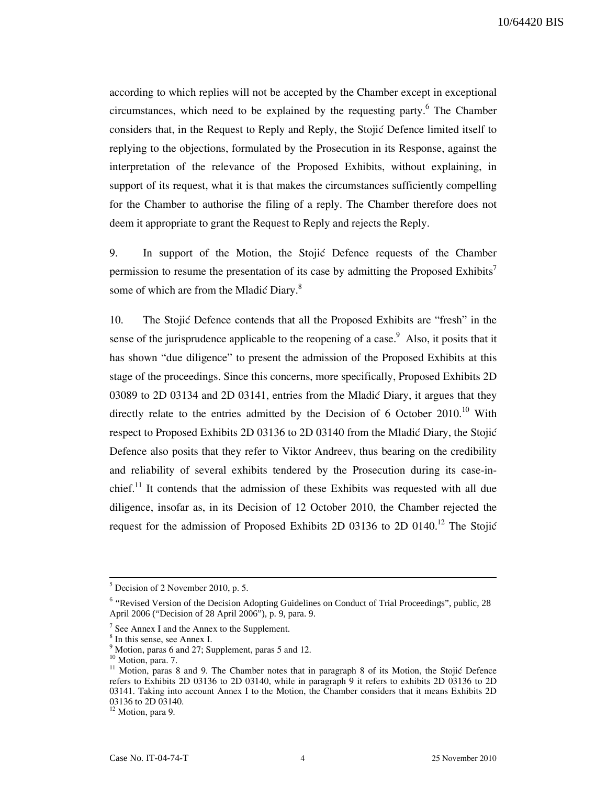according to which replies will not be accepted by the Chamber except in exceptional circumstances, which need to be explained by the requesting party. <sup>6</sup> The Chamber considers that, in the Request to Reply and Reply, the Stojić Defence limited itself to replying to the objections, formulated by the Prosecution in its Response, against the interpretation of the relevance of the Proposed Exhibits, without explaining, in support of its request, what it is that makes the circumstances sufficiently compelling for the Chamber to authorise the filing of a reply. The Chamber therefore does not deem it appropriate to grant the Request to Reply and rejects the Reply.

9. In support of the Motion, the Stojic Defence requests of the Chamber permission to resume the presentation of its case by admitting the Proposed Exhibits<sup>7</sup> some of which are from the Mladić Diary.<sup>8</sup>

10. The Stojić Defence contends that all the Proposed Exhibits are "fresh" in the sense of the jurisprudence applicable to the reopening of a case.  $9$  Also, it posits that it has shown "due diligence" to present the admission of the Proposed Exhibits at this stage of the proceedings. Since this concerns, more specifically, Proposed Exhibits 2D 03089 to 2D 03134 and 2D 03141, entries from the Mladić Diary, it argues that they directly relate to the entries admitted by the Decision of 6 October  $2010$ .<sup>10</sup> With respect to Proposed Exhibits 2D 03136 to 2D 03140 from the Mladić Diary, the Stojić Defence also posits that they refer to Viktor Andreev, thus bearing on the credibility and reliability of several exhibits tendered by the Prosecution during its case-inchief.<sup>11</sup> It contends that the admission of these Exhibits was requested with all due diligence, insofar as, in its Decision of 12 October 2010, the Chamber rejected the request for the admission of Proposed Exhibits 2D 03136 to 2D 0140.<sup>12</sup> The Stojić

 $<sup>5</sup>$  Decision of 2 November 2010, p. 5.</sup>

<sup>&</sup>lt;sup>6</sup> "Revised Version of the Decision Adopting Guidelines on Conduct of Trial Proceedings", public, 28 April 2006 ("Decision of 28 April 2006"), p. 9, para. 9.

 $7$  See Annex I and the Annex to the Supplement.

<sup>&</sup>lt;sup>8</sup> In this sense, see Annex I.

<sup>&</sup>lt;sup>9</sup> Motion, paras 6 and 27; Supplement, paras 5 and 12.

 $10$  Motion, para. 7.

 $11$  Motion, paras 8 and 9. The Chamber notes that in paragraph 8 of its Motion, the Stojić Defence refers to Exhibits 2D 03136 to 2D 03140, while in paragraph 9 it refers to exhibits 2D 03136 to 2D 03141. Taking into account Annex I to the Motion, the Chamber considers that it means Exhibits 2D 03136 to 2D 03140.

<sup>&</sup>lt;sup>12</sup> Motion, para 9.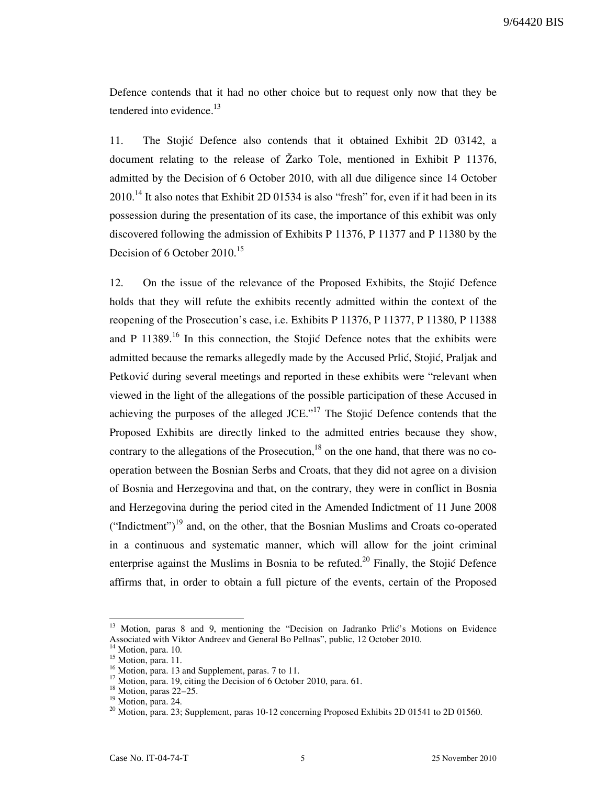Defence contends that it had no other choice but to request only now that they be tendered into evidence. $^{13}$ 

11. The Stojić Defence also contends that it obtained Exhibit 2D 03142, a document relating to the release of Žarko Tole, mentioned in Exhibit P 11376, admitted by the Decision of 6 October 2010, with all due diligence since 14 October  $2010$ <sup>14</sup> It also notes that Exhibit 2D 01534 is also "fresh" for, even if it had been in its possession during the presentation of its case, the importance of this exhibit was only discovered following the admission of Exhibits P 11376, P 11377 and P 11380 by the Decision of 6 October 2010.<sup>15</sup>

12. On the issue of the relevance of the Proposed Exhibits, the Stojić Defence holds that they will refute the exhibits recently admitted within the context of the reopening of the Prosecution's case, i.e. Exhibits P 11376, P 11377, P 11380, P 11388 and P 11389.<sup>16</sup> In this connection, the Stojić Defence notes that the exhibits were admitted because the remarks allegedly made by the Accused Prlić, Stojić, Praljak and Petković during several meetings and reported in these exhibits were "relevant when viewed in the light of the allegations of the possible participation of these Accused in achieving the purposes of the alleged JCE." $17$  The Stojić Defence contends that the Proposed Exhibits are directly linked to the admitted entries because they show, contrary to the allegations of the Prosecution, $^{18}$  on the one hand, that there was no cooperation between the Bosnian Serbs and Croats, that they did not agree on a division of Bosnia and Herzegovina and that, on the contrary, they were in conflict in Bosnia and Herzegovina during the period cited in the Amended Indictment of 11 June 2008 ("Indictment")<sup>19</sup> and, on the other, that the Bosnian Muslims and Croats co-operated in a continuous and systematic manner, which will allow for the joint criminal enterprise against the Muslims in Bosnia to be refuted.<sup>20</sup> Finally, the Stojić Defence affirms that, in order to obtain a full picture of the events, certain of the Proposed

Motion, paras 8 and 9, mentioning the "Decision on Jadranko Prlić's Motions on Evidence Associated with Viktor Andreev and General Bo Pellnas", public, 12 October 2010.

Motion, para. 10.

 $^{15}$  Motion, para. 11.

 $16$  Motion, para. 13 and Supplement, paras. 7 to 11.

 $17$  Motion, para. 19, citing the Decision of 6 October 2010, para. 61.

 $18$  Motion, paras 22–25.

<sup>&</sup>lt;sup>19</sup> Motion, para. 24.

 $20$  Motion, para. 23; Supplement, paras 10-12 concerning Proposed Exhibits 2D 01541 to 2D 01560.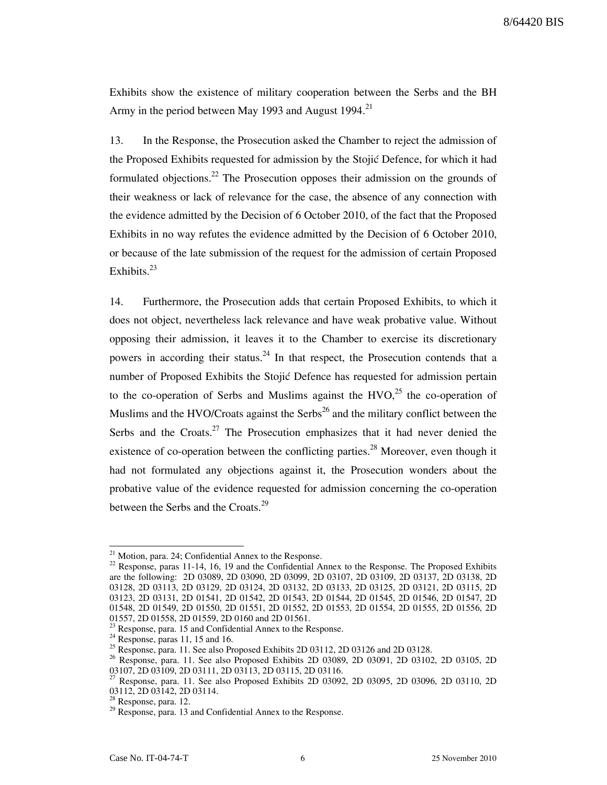Exhibits show the existence of military cooperation between the Serbs and the BH Army in the period between May 1993 and August 1994.<sup>21</sup>

13. In the Response, the Prosecution asked the Chamber to reject the admission of the Proposed Exhibits requested for admission by the Stojić Defence, for which it had formulated objections.<sup>22</sup> The Prosecution opposes their admission on the grounds of their weakness or lack of relevance for the case, the absence of any connection with the evidence admitted by the Decision of 6 October 2010, of the fact that the Proposed Exhibits in no way refutes the evidence admitted by the Decision of 6 October 2010, or because of the late submission of the request for the admission of certain Proposed Exhibits.<sup>23</sup>

14. Furthermore, the Prosecution adds that certain Proposed Exhibits, to which it does not object, nevertheless lack relevance and have weak probative value. Without opposing their admission, it leaves it to the Chamber to exercise its discretionary powers in according their status.<sup>24</sup> In that respect, the Prosecution contends that a number of Proposed Exhibits the Stojić Defence has requested for admission pertain to the co-operation of Serbs and Muslims against the  $HVO<sub>1</sub><sup>25</sup>$  the co-operation of Muslims and the HVO/Croats against the Serbs $^{26}$  and the military conflict between the Serbs and the Croats. $27$  The Prosecution emphasizes that it had never denied the existence of co-operation between the conflicting parties.<sup>28</sup> Moreover, even though it had not formulated any objections against it, the Prosecution wonders about the probative value of the evidence requested for admission concerning the co-operation between the Serbs and the Croats.<sup>29</sup>

 $21$  Motion, para. 24; Confidential Annex to the Response.

<sup>&</sup>lt;sup>22</sup> Response, paras 11-14, 16, 19 and the Confidential Annex to the Response. The Proposed Exhibits are the following: 2D 03089, 2D 03090, 2D 03099, 2D 03107, 2D 03109, 2D 03137, 2D 03138, 2D 03128, 2D 03113, 2D 03129, 2D 03124, 2D 03132, 2D 03133, 2D 03125, 2D 03121, 2D 03115, 2D 03123, 2D 03131, 2D 01541, 2D 01542, 2D 01543, 2D 01544, 2D 01545, 2D 01546, 2D 01547, 2D 01548, 2D 01549, 2D 01550, 2D 01551, 2D 01552, 2D 01553, 2D 01554, 2D 01555, 2D 01556, 2D 01557, 2D 01558, 2D 01559, 2D 0160 and 2D 01561.

Response, para. 15 and Confidential Annex to the Response.

 $24$  Response, paras 11, 15 and 16.

<sup>&</sup>lt;sup>25</sup> Response, para. 11. See also Proposed Exhibits 2D 03112, 2D 03126 and 2D 03128.

<sup>&</sup>lt;sup>26</sup> Response, para. 11. See also Proposed Exhibits 2D 03089, 2D 03091, 2D 03102, 2D 03105, 2D 03107, 2D 03109, 2D 03111, 2D 03113, 2D 03115, 2D 03116.

<sup>27</sup> Response, para. 11. See also Proposed Exhibits 2D 03092, 2D 03095, 2D 03096, 2D 03110, 2D 03112, 2D 03142, 2D 03114.

<sup>&</sup>lt;sup>8</sup> Response, para. 12.

<sup>&</sup>lt;sup>29</sup> Response, para. 13 and Confidential Annex to the Response.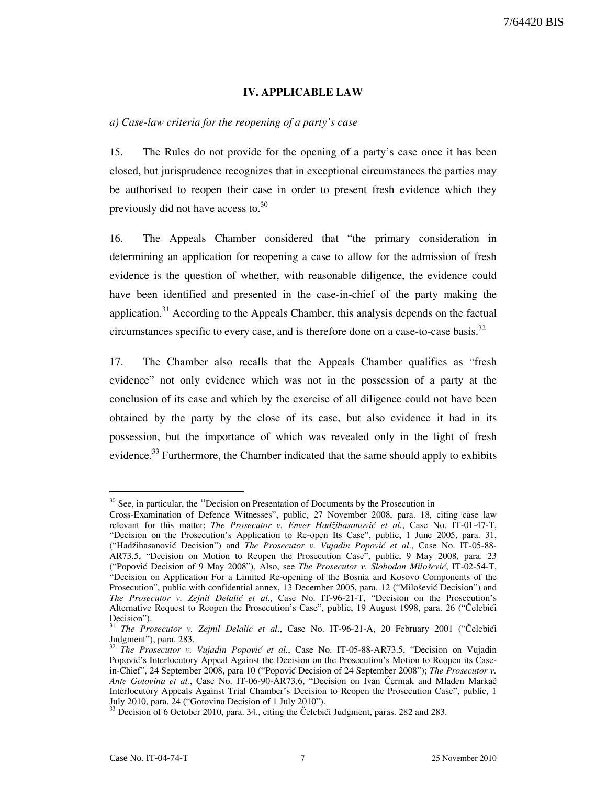#### IV. APPLICABLE LAW

#### a) Case-law criteria for the reopening of a party's case

15. The Rules do not provide for the opening of a party's case once it has been closed, but jurisprudence recognizes that in exceptional circumstances the parties may be authorised to reopen their case in order to present fresh evidence which they previously did not have access to.<sup>30</sup>

16. The Appeals Chamber considered that "the primary consideration in determining an application for reopening a case to allow for the admission of fresh evidence is the question of whether, with reasonable diligence, the evidence could have been identified and presented in the case-in-chief of the party making the application.<sup>31</sup> According to the Appeals Chamber, this analysis depends on the factual circumstances specific to every case, and is therefore done on a case-to-case basis.<sup>32</sup>

17. The Chamber also recalls that the Appeals Chamber qualifies as "fresh evidence" not only evidence which was not in the possession of a party at the conclusion of its case and which by the exercise of all diligence could not have been obtained by the party by the close of its case, but also evidence it had in its possession, but the importance of which was revealed only in the light of fresh evidence.<sup>33</sup> Furthermore, the Chamber indicated that the same should apply to exhibits

<sup>&</sup>lt;sup>30</sup> See, in particular, the "Decision on Presentation of Documents by the Prosecution in

Cross-Examination of Defence Witnesses", public, 27 November 2008, para. 18, citing case law relevant for this matter; The Prosecutor v. Enver Hadžihasanović et al., Case No. IT-01-47-T, "Decision on the Prosecution's Application to Re-open Its Case", public, 1 June 2005, para. 31, ("Hadžihasanović Decision") and The Prosecutor v. Vujadin Popović et al., Case No. IT-05-88-AR73.5, "Decision on Motion to Reopen the Prosecution Case", public, 9 May 2008, para. 23 ("Popović Decision of 9 May 2008"). Also, see The Prosecutor v. Slobodan Milošević, IT-02-54-T, "Decision on Application For a Limited Re-opening of the Bosnia and Kosovo Components of the Prosecution", public with confidential annex, 13 December 2005, para. 12 ("Milošević Decision") and The Prosecutor v. Zejnil Delalić et al., Case No. IT-96-21-T, "Decision on the Prosecution's Alternative Request to Reopen the Prosecution's Case", public, 19 August 1998, para. 26 ("Čelebići Decision").

 $31$  The Prosecutor v. Zejnil Delalić et al., Case No. IT-96-21-A, 20 February 2001 ("Čelebići Judgment"), para. 283.

The Prosecutor v. Vujadin Popović et al., Case No. IT-05-88-AR73.5, "Decision on Vujadin Popović's Interlocutory Appeal Against the Decision on the Prosecution's Motion to Reopen its Casein-Chief", 24 September 2008, para 10 ("Popović Decision of 24 September 2008"); The Prosecutor v. Ante Gotovina et al., Case No. IT-06-90-AR73.6, "Decision on Ivan Čermak and Mladen Markač Interlocutory Appeals Against Trial Chamber's Decision to Reopen the Prosecution Case", public, 1 July 2010, para. 24 ("Gotovina Decision of 1 July 2010").

 $\frac{33}{33}$  Decision of 6 October 2010, para. 34., citing the Čelebići Judgment, paras. 282 and 283.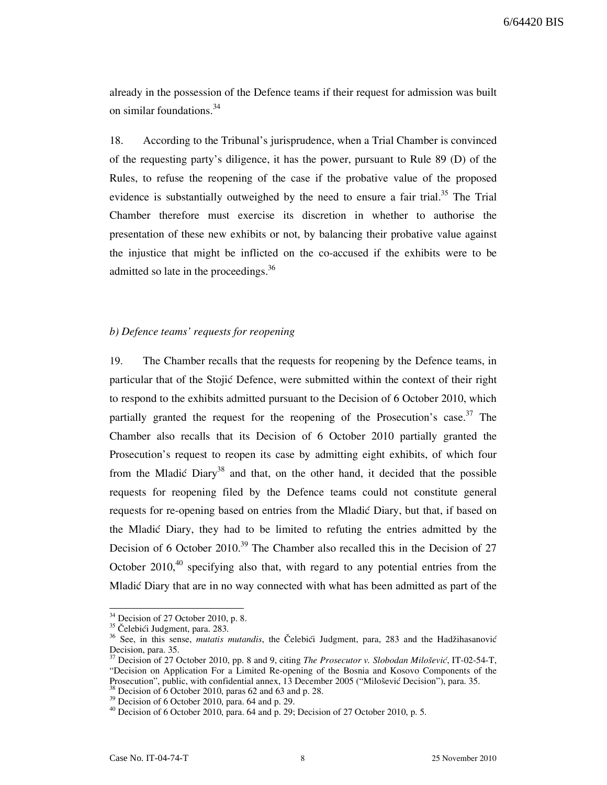already in the possession of the Defence teams if their request for admission was built on similar foundations.<sup>34</sup>

18. According to the Tribunal's jurisprudence, when a Trial Chamber is convinced of the requesting party's diligence, it has the power, pursuant to Rule 89 (D) of the Rules, to refuse the reopening of the case if the probative value of the proposed evidence is substantially outweighed by the need to ensure a fair trial.<sup>35</sup> The Trial Chamber therefore must exercise its discretion in whether to authorise the presentation of these new exhibits or not, by balancing their probative value against the injustice that might be inflicted on the co-accused if the exhibits were to be admitted so late in the proceedings.<sup>36</sup>

### b) Defence teams' requests for reopening

19. The Chamber recalls that the requests for reopening by the Defence teams, in particular that of the Stojić Defence, were submitted within the context of their right to respond to the exhibits admitted pursuant to the Decision of 6 October 2010, which partially granted the request for the reopening of the Prosecution's case.<sup>37</sup> The Chamber also recalls that its Decision of 6 October 2010 partially granted the Prosecution's request to reopen its case by admitting eight exhibits, of which four from the Mladić Diary<sup>38</sup> and that, on the other hand, it decided that the possible requests for reopening filed by the Defence teams could not constitute general requests for re-opening based on entries from the Mladic Diary, but that, if based on the Mladi} Diary, they had to be limited to refuting the entries admitted by the Decision of 6 October 2010.<sup>39</sup> The Chamber also recalled this in the Decision of 27 October 2010, $40$  specifying also that, with regard to any potential entries from the Mladić Diary that are in no way connected with what has been admitted as part of the

 $34$  Decision of 27 October 2010, p. 8.

<sup>&</sup>lt;sup>35</sup> Čelebići Judgment, para. 283.

<sup>&</sup>lt;sup>36</sup> See, in this sense, mutatis mutandis, the Čelebići Judgment, para, 283 and the Hadžihasanović Decision, para. 35.

<sup>&</sup>lt;sup>7</sup> Decision of 27 October 2010, pp. 8 and 9, citing *The Prosecutor v. Slobodan Milošević*, IT-02-54-T, "Decision on Application For a Limited Re-opening of the Bosnia and Kosovo Components of the Prosecution", public, with confidential annex, 13 December 2005 ("Milošević Decision"), para. 35.

Becision of 6 October 2010, paras 62 and 63 and p. 28.

 $39$  Decision of 6 October 2010, para. 64 and p. 29.

<sup>&</sup>lt;sup>40</sup> Decision of 6 October 2010, para. 64 and p. 29; Decision of 27 October 2010, p. 5.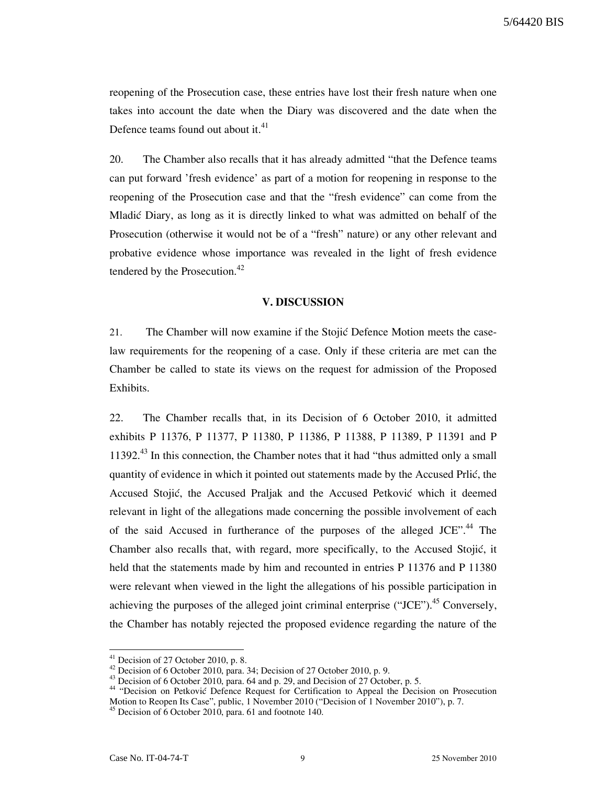reopening of the Prosecution case, these entries have lost their fresh nature when one takes into account the date when the Diary was discovered and the date when the Defence teams found out about it.<sup>41</sup>

20. The Chamber also recalls that it has already admitted "that the Defence teams can put forward 'fresh evidence' as part of a motion for reopening in response to the reopening of the Prosecution case and that the "fresh evidence" can come from the Mladić Diary, as long as it is directly linked to what was admitted on behalf of the Prosecution (otherwise it would not be of a "fresh" nature) or any other relevant and probative evidence whose importance was revealed in the light of fresh evidence tendered by the Prosecution.<sup>42</sup>

#### V. DISCUSSION

21. The Chamber will now examine if the Stojić Defence Motion meets the caselaw requirements for the reopening of a case. Only if these criteria are met can the Chamber be called to state its views on the request for admission of the Proposed Exhibits.

22. The Chamber recalls that, in its Decision of 6 October 2010, it admitted exhibits P 11376, P 11377, P 11380, P 11386, P 11388, P 11389, P 11391 and P  $11392<sup>43</sup>$  In this connection, the Chamber notes that it had "thus admitted only a small quantity of evidence in which it pointed out statements made by the Accused Prlić, the Accused Stojić, the Accused Praljak and the Accused Petković which it deemed relevant in light of the allegations made concerning the possible involvement of each of the said Accused in furtherance of the purposes of the alleged JCE".<sup>44</sup> The Chamber also recalls that, with regard, more specifically, to the Accused Stojić, it held that the statements made by him and recounted in entries P 11376 and P 11380 were relevant when viewed in the light the allegations of his possible participation in achieving the purposes of the alleged joint criminal enterprise ("JCE"). $^{45}$  Conversely, the Chamber has notably rejected the proposed evidence regarding the nature of the

 $41$  Decision of 27 October 2010, p. 8.

 $^{42}$  Decision of 6 October 2010, para. 34; Decision of 27 October 2010, p. 9.

<sup>&</sup>lt;sup>43</sup> Decision of 6 October 2010, para. 64 and p. 29, and Decision of 27 October, p. 5.

<sup>&</sup>lt;sup>44</sup> "Decision on Petković Defence Request for Certification to Appeal the Decision on Prosecution Motion to Reopen Its Case", public, 1 November 2010 ("Decision of 1 November 2010"), p. 7.

<sup>&</sup>lt;sup>45</sup> Decision of  $\hat{6}$  October 2010, para. 61 and footnote 140.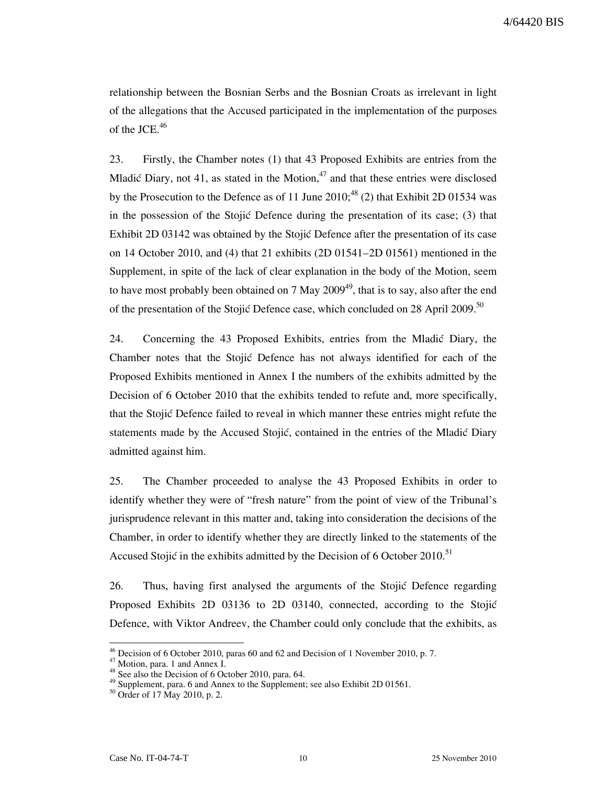relationship between the Bosnian Serbs and the Bosnian Croats as irrelevant in light of the allegations that the Accused participated in the implementation of the purposes of the JCE. $46$ 

23. Firstly, the Chamber notes (1) that 43 Proposed Exhibits are entries from the Mladić Diary, not 41, as stated in the Motion, $47$  and that these entries were disclosed by the Prosecution to the Defence as of 11 June  $2010$ ;<sup>48</sup> (2) that Exhibit 2D 01534 was in the possession of the Stojić Defence during the presentation of its case; (3) that Exhibit 2D 03142 was obtained by the Stojić Defence after the presentation of its case on 14 October 2010, and (4) that 21 exhibits (2D 01541–2D 01561) mentioned in the Supplement, in spite of the lack of clear explanation in the body of the Motion, seem to have most probably been obtained on 7 May  $2009^{49}$ , that is to say, also after the end of the presentation of the Stojić Defence case, which concluded on 28 April 2009.<sup>50</sup>

24. Concerning the 43 Proposed Exhibits, entries from the Mladić Diary, the Chamber notes that the Stojić Defence has not always identified for each of the Proposed Exhibits mentioned in Annex I the numbers of the exhibits admitted by the Decision of 6 October 2010 that the exhibits tended to refute and, more specifically, that the Stojić Defence failed to reveal in which manner these entries might refute the statements made by the Accused Stojić, contained in the entries of the Mladić Diary admitted against him.

25. The Chamber proceeded to analyse the 43 Proposed Exhibits in order to identify whether they were of "fresh nature" from the point of view of the Tribunal's jurisprudence relevant in this matter and, taking into consideration the decisions of the Chamber, in order to identify whether they are directly linked to the statements of the Accused Stojić in the exhibits admitted by the Decision of 6 October 2010.<sup>51</sup>

26. Thus, having first analysed the arguments of the Stojić Defence regarding Proposed Exhibits 2D 03136 to 2D 03140, connected, according to the Stojić Defence, with Viktor Andreev, the Chamber could only conclude that the exhibits, as

<sup>&</sup>lt;sup>46</sup> Decision of 6 October 2010, paras 60 and 62 and Decision of 1 November 2010, p. 7.

<sup>47</sup> Motion, para. 1 and Annex I.

 $48$  See also the Decision of 6 October 2010, para. 64.

 $49$  Supplement, para. 6 and Annex to the Supplement; see also Exhibit 2D 01561.

<sup>50</sup> Order of 17 May 2010, p. 2.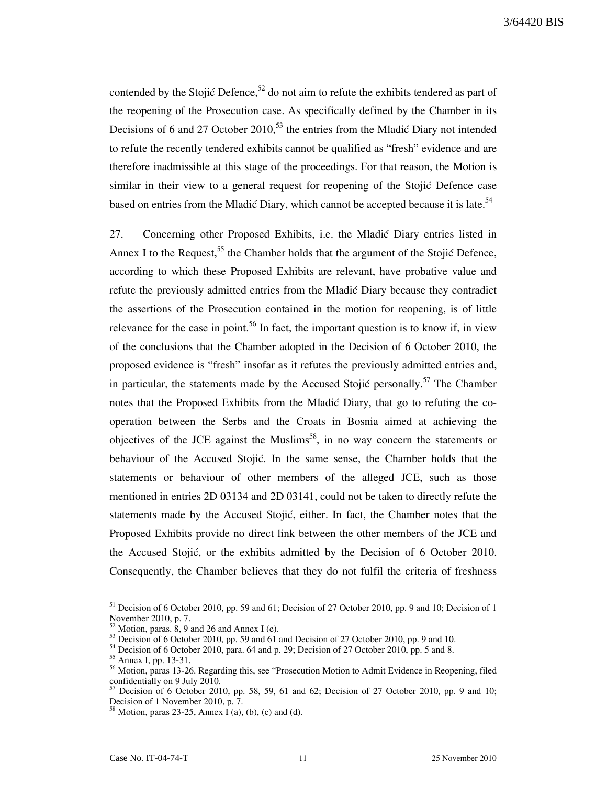contended by the Stojić Defence,<sup>52</sup> do not aim to refute the exhibits tendered as part of the reopening of the Prosecution case. As specifically defined by the Chamber in its Decisions of 6 and 27 October 2010,<sup>53</sup> the entries from the Mladić Diary not intended to refute the recently tendered exhibits cannot be qualified as "fresh" evidence and are therefore inadmissible at this stage of the proceedings. For that reason, the Motion is similar in their view to a general request for reopening of the Stojić Defence case based on entries from the Mladić Diary, which cannot be accepted because it is late.<sup>54</sup>

27. Concerning other Proposed Exhibits, i.e. the Mladić Diary entries listed in Annex I to the Request,<sup>55</sup> the Chamber holds that the argument of the Stojić Defence, according to which these Proposed Exhibits are relevant, have probative value and refute the previously admitted entries from the Mladić Diary because they contradict the assertions of the Prosecution contained in the motion for reopening, is of little relevance for the case in point.<sup>56</sup> In fact, the important question is to know if, in view of the conclusions that the Chamber adopted in the Decision of 6 October 2010, the proposed evidence is "fresh" insofar as it refutes the previously admitted entries and, in particular, the statements made by the Accused Stojić personally.<sup>57</sup> The Chamber notes that the Proposed Exhibits from the Mladić Diary, that go to refuting the cooperation between the Serbs and the Croats in Bosnia aimed at achieving the objectives of the JCE against the Muslims<sup>58</sup>, in no way concern the statements or behaviour of the Accused Stojić. In the same sense, the Chamber holds that the statements or behaviour of other members of the alleged JCE, such as those mentioned in entries 2D 03134 and 2D 03141, could not be taken to directly refute the statements made by the Accused Stojić, either. In fact, the Chamber notes that the Proposed Exhibits provide no direct link between the other members of the JCE and the Accused Stojić, or the exhibits admitted by the Decision of 6 October 2010. Consequently, the Chamber believes that they do not fulfil the criteria of freshness

<sup>&</sup>lt;sup>51</sup> Decision of 6 October 2010, pp. 59 and 61; Decision of 27 October 2010, pp. 9 and 10; Decision of 1 November 2010, p. 7.

Motion, paras.  $8, 9$  and 26 and Annex I (e).

 $\frac{53}{53}$  Decision of 6 October 2010, pp. 59 and  $\frac{61}{1}$  and Decision of 27 October 2010, pp. 9 and 10.

 $54$  Decision of 6 October 2010, para. 64 and p. 29; Decision of 27 October 2010, pp. 5 and 8.

 $55$  Annex I, pp. 13-31.

<sup>&</sup>lt;sup>56</sup> Motion, paras 13-26. Regarding this, see "Prosecution Motion to Admit Evidence in Reopening, filed confidentially on 9 July 2010.

<sup>57</sup> Decision of 6 October 2010, pp. 58, 59, 61 and 62; Decision of 27 October 2010, pp. 9 and 10; Decision of 1 November 2010, p. 7.

 $8^8$  Motion, paras 23-25, Annex I (a), (b), (c) and (d).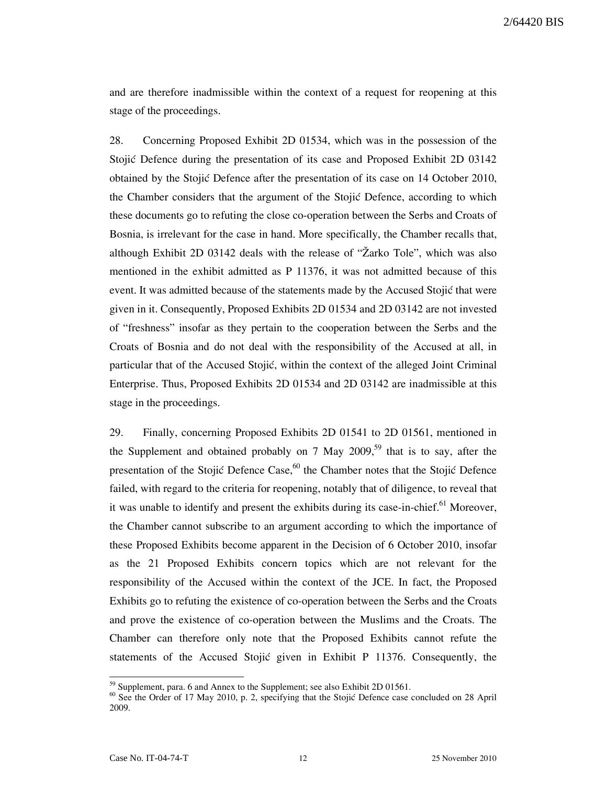and are therefore inadmissible within the context of a request for reopening at this stage of the proceedings.

28. Concerning Proposed Exhibit 2D 01534, which was in the possession of the Stojić Defence during the presentation of its case and Proposed Exhibit 2D 03142 obtained by the Stojić Defence after the presentation of its case on 14 October 2010, the Chamber considers that the argument of the Stojić Defence, according to which these documents go to refuting the close co-operation between the Serbs and Croats of Bosnia, is irrelevant for the case in hand. More specifically, the Chamber recalls that, although Exhibit 2D 03142 deals with the release of "Žarko Tole", which was also mentioned in the exhibit admitted as P 11376, it was not admitted because of this event. It was admitted because of the statements made by the Accused Stojić that were given in it. Consequently, Proposed Exhibits 2D 01534 and 2D 03142 are not invested of "freshness" insofar as they pertain to the cooperation between the Serbs and the Croats of Bosnia and do not deal with the responsibility of the Accused at all, in particular that of the Accused Stojić, within the context of the alleged Joint Criminal Enterprise. Thus, Proposed Exhibits 2D 01534 and 2D 03142 are inadmissible at this stage in the proceedings.

29. Finally, concerning Proposed Exhibits 2D 01541 to 2D 01561, mentioned in the Supplement and obtained probably on 7 May 2009,<sup>59</sup> that is to say, after the presentation of the Stojić Defence Case,  $60$  the Chamber notes that the Stojić Defence failed, with regard to the criteria for reopening, notably that of diligence, to reveal that it was unable to identify and present the exhibits during its case-in-chief.<sup>61</sup> Moreover, the Chamber cannot subscribe to an argument according to which the importance of these Proposed Exhibits become apparent in the Decision of 6 October 2010, insofar as the 21 Proposed Exhibits concern topics which are not relevant for the responsibility of the Accused within the context of the JCE. In fact, the Proposed Exhibits go to refuting the existence of co-operation between the Serbs and the Croats and prove the existence of co-operation between the Muslims and the Croats. The Chamber can therefore only note that the Proposed Exhibits cannot refute the statements of the Accused Stojić given in Exhibit P 11376. Consequently, the

 $59$  Supplement, para. 6 and Annex to the Supplement; see also Exhibit 2D 01561.

<sup>&</sup>lt;sup>60</sup> See the Order of 17 May 2010, p. 2, specifying that the Stojić Defence case concluded on 28 April 2009.